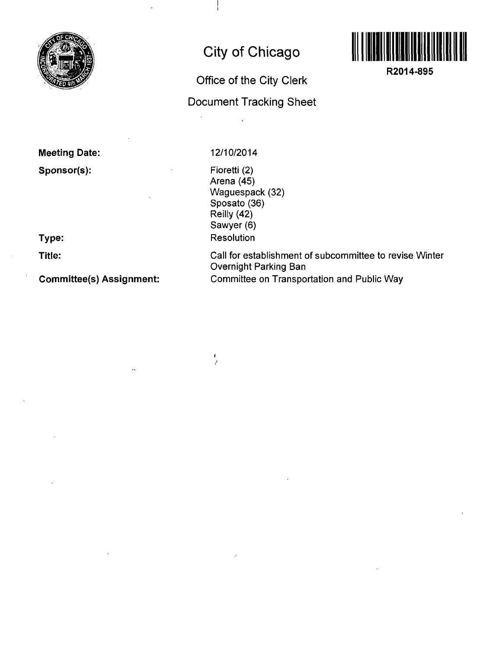

# **City of Chicago**

## **Office of the City Clerk**

## **Document Tracking Sheet**



**R2014-895** 

**Meeting Date: Sponsor(s):** 

**Type:** 

**Title:** 

**Committee(s) Assignment:** 

### 12/10/2014

 $\frac{1}{2}$ 

Fioretti (2) Arena (45) Waguespack (32) Sposato (36) Reilly (42) Sawyer (6) Resolution

Call for establishment of subcommittee to revise Winter Overnight Parking Ban Committee on Transportation and Public Way